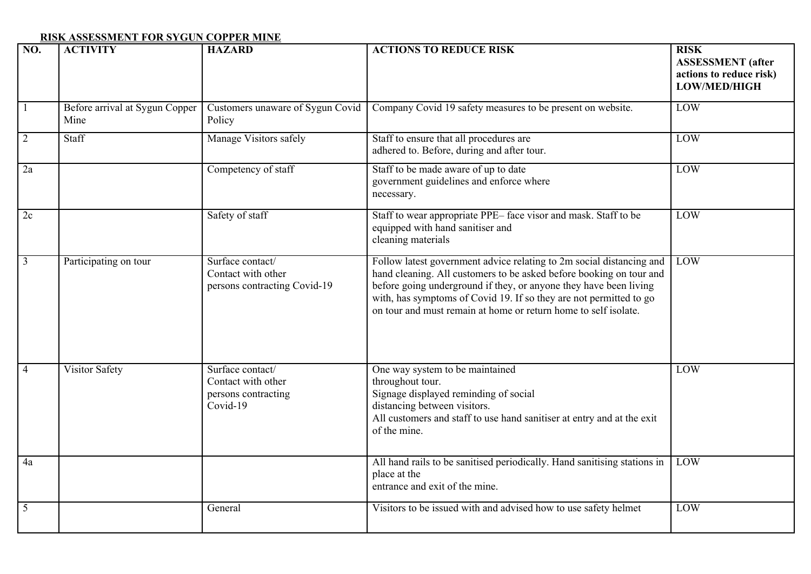## **RISK ASSESSMENT FOR SYGUN COPPER MINE**

| $\overline{NO}$ . | <b>ACTIVITY</b>                        | <b>HAZARD</b>                                                             | <b>ACTIONS TO REDUCE RISK</b>                                                                                                                                                                                                                                                                                                                             | <b>RISK</b><br><b>ASSESSMENT</b> (after<br>actions to reduce risk)<br>LOW/MED/HIGH |
|-------------------|----------------------------------------|---------------------------------------------------------------------------|-----------------------------------------------------------------------------------------------------------------------------------------------------------------------------------------------------------------------------------------------------------------------------------------------------------------------------------------------------------|------------------------------------------------------------------------------------|
| $\mathbf{1}$      | Before arrival at Sygun Copper<br>Mine | Customers unaware of Sygun Covid<br>Policy                                | Company Covid 19 safety measures to be present on website.                                                                                                                                                                                                                                                                                                | LOW                                                                                |
| $\overline{2}$    | Staff                                  | Manage Visitors safely                                                    | Staff to ensure that all procedures are<br>adhered to. Before, during and after tour.                                                                                                                                                                                                                                                                     | LOW                                                                                |
| 2a                |                                        | Competency of staff                                                       | Staff to be made aware of up to date<br>government guidelines and enforce where<br>necessary.                                                                                                                                                                                                                                                             | LOW                                                                                |
| 2c                |                                        | Safety of staff                                                           | Staff to wear appropriate PPE-face visor and mask. Staff to be<br>equipped with hand sanitiser and<br>cleaning materials                                                                                                                                                                                                                                  | LOW                                                                                |
| $\overline{3}$    | Participating on tour                  | Surface contact/<br>Contact with other<br>persons contracting Covid-19    | Follow latest government advice relating to 2m social distancing and<br>hand cleaning. All customers to be asked before booking on tour and<br>before going underground if they, or anyone they have been living<br>with, has symptoms of Covid 19. If so they are not permitted to go<br>on tour and must remain at home or return home to self isolate. | LOW                                                                                |
| $\overline{4}$    | <b>Visitor Safety</b>                  | Surface contact/<br>Contact with other<br>persons contracting<br>Covid-19 | One way system to be maintained<br>throughout tour.<br>Signage displayed reminding of social<br>distancing between visitors.<br>All customers and staff to use hand sanitiser at entry and at the exit<br>of the mine.                                                                                                                                    | LOW                                                                                |
| 4a                |                                        |                                                                           | All hand rails to be sanitised periodically. Hand sanitising stations in<br>place at the<br>entrance and exit of the mine.                                                                                                                                                                                                                                | LOW                                                                                |
| 5                 |                                        | General                                                                   | Visitors to be issued with and advised how to use safety helmet                                                                                                                                                                                                                                                                                           | LOW                                                                                |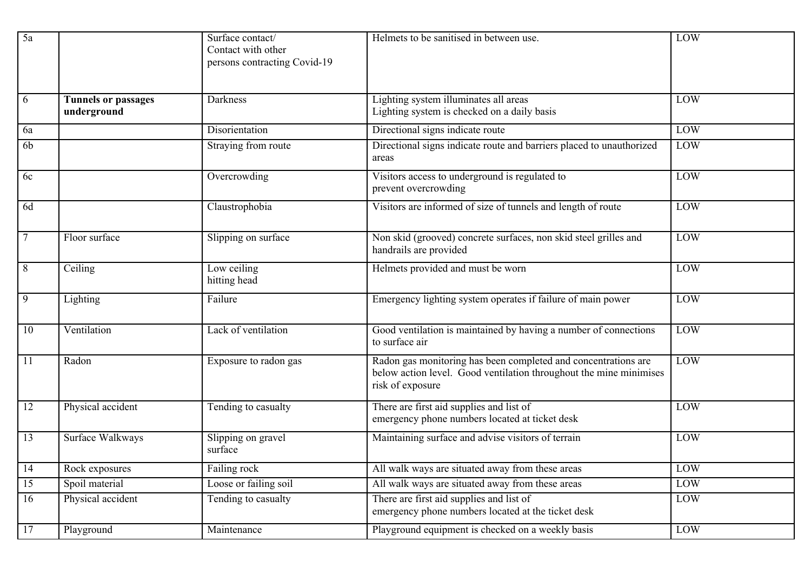| 5a              |                                           | Surface contact/<br>Contact with other<br>persons contracting Covid-19 | Helmets to be sanitised in between use.                                                                                                                  | LOW |
|-----------------|-------------------------------------------|------------------------------------------------------------------------|----------------------------------------------------------------------------------------------------------------------------------------------------------|-----|
| 6               | <b>Tunnels or passages</b><br>underground | Darkness                                                               | Lighting system illuminates all areas<br>Lighting system is checked on a daily basis                                                                     | LOW |
| 6a              |                                           | Disorientation                                                         | Directional signs indicate route                                                                                                                         | LOW |
| 6 <sub>b</sub>  |                                           | Straying from route                                                    | Directional signs indicate route and barriers placed to unauthorized<br>areas                                                                            | LOW |
| 6c              |                                           | Overcrowding                                                           | Visitors access to underground is regulated to<br>prevent overcrowding                                                                                   | LOW |
| 6d              |                                           | Claustrophobia                                                         | Visitors are informed of size of tunnels and length of route                                                                                             | LOW |
| $\overline{7}$  | Floor surface                             | Slipping on surface                                                    | Non skid (grooved) concrete surfaces, non skid steel grilles and<br>handrails are provided                                                               | LOW |
| 8               | Ceiling                                   | Low ceiling<br>hitting head                                            | Helmets provided and must be worn                                                                                                                        | LOW |
| 9               | Lighting                                  | Failure                                                                | Emergency lighting system operates if failure of main power                                                                                              | LOW |
| 10              | Ventilation                               | Lack of ventilation                                                    | Good ventilation is maintained by having a number of connections<br>to surface air                                                                       | LOW |
| 11              | Radon                                     | Exposure to radon gas                                                  | Radon gas monitoring has been completed and concentrations are<br>below action level. Good ventilation throughout the mine minimises<br>risk of exposure | LOW |
| $\overline{12}$ | Physical accident                         | Tending to casualty                                                    | There are first aid supplies and list of<br>emergency phone numbers located at ticket desk                                                               | LOW |
| 13              | Surface Walkways                          | Slipping on gravel<br>surface                                          | Maintaining surface and advise visitors of terrain                                                                                                       | LOW |
| 14              | Rock exposures                            | Failing rock                                                           | All walk ways are situated away from these areas                                                                                                         | LOW |
| 15              | Spoil material                            | Loose or failing soil                                                  | All walk ways are situated away from these areas                                                                                                         | LOW |
| 16              | Physical accident                         | Tending to casualty                                                    | There are first aid supplies and list of<br>emergency phone numbers located at the ticket desk                                                           | LOW |
| 17              | Playground                                | Maintenance                                                            | Playground equipment is checked on a weekly basis                                                                                                        | LOW |